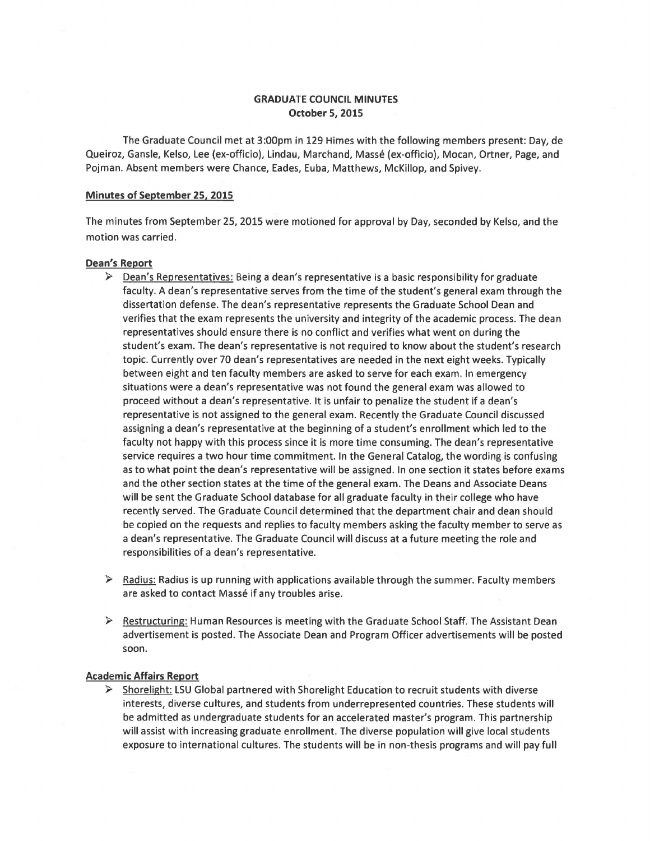# GRADUATE COUNCIL MINUTES October 5, 2015

The Graduate Council met at 3:00pm in 129 Himes with the following members present: Day, de Queiroz, Gansle, Kelso, Lee (ex-officio), Lindau, Marchand, Masse (ex-officio), Mocan, Ortner, Page, and Pojman. Absent members were Chance, Eades, Euba, Matthews, McKillop, and Spivey.

#### Minutes of September 25, 2015

The minutes from September 25, 2015 were motioned for approval by Day, seconded by Kelso, and the motion was carried.

### Dean's Report

- $\triangleright$  Dean's Representatives: Being a dean's representative is a basic responsibility for graduate faculty. A dean's representative serves from the time of the student's general exam through the dissertation defense. The dean's representative represents the Graduate School Dean and verifies that the exam represents the university and integrity of the academic process. The dean representatives should ensure there is no conflict and verifies what went on during the student's exam. The dean's representative is not required to know about the student's research topic. Currently over 70 dean's representatives are needed in the next eight weeks. Typically between eight and ten faculty members are asked to serve for each exam. In emergency situations were a dean's representative was not found the general exam was allowed to proceed without a dean's representative. It is unfair to penalize the student if a dean's representative is not assigned to the general exam. Recently the Graduate Council discussed assigning a dean's representative at the beginning of a student's enrollment which led to the faculty not happy with this process since it is more time consuming. The dean's representative service requires a two hour time commitment. In the General Catalog, the wording is confusing as to what point the dean's representative will be assigned. In one section it states before exams and the other section states at the time of the general exam. The Deans and Associate Deans will be sent the Graduate School database for all graduate faculty in their college who have recently served. The Graduate Council determined that the department chair and dean should be copied on the requests and replies to faculty members asking the faculty member to serve as a dean's representative. The Graduate Council will discuss at a future meeting the role and responsibilities of a dean's representative.
- $\triangleright$  Radius: Radius is up running with applications available through the summer. Faculty members are asked to contact Massé if any troubles arise.
- $\triangleright$  Restructuring: Human Resources is meeting with the Graduate School Staff. The Assistant Dean advertisement is posted. The Associate Dean and Program Officer advertisements will be posted soon.

#### Academic Affairs Report

 $\triangleright$  Shorelight: LSU Global partnered with Shorelight Education to recruit students with diverse interests, diverse cultures, and students from underrepresented countries. These students will be admitted as undergraduate students for an accelerated master's program. This partnership will assist with increasing graduate enrollment. The diverse population will give local students exposure to international cultures. The students will be in non-thesis programs and will pay full